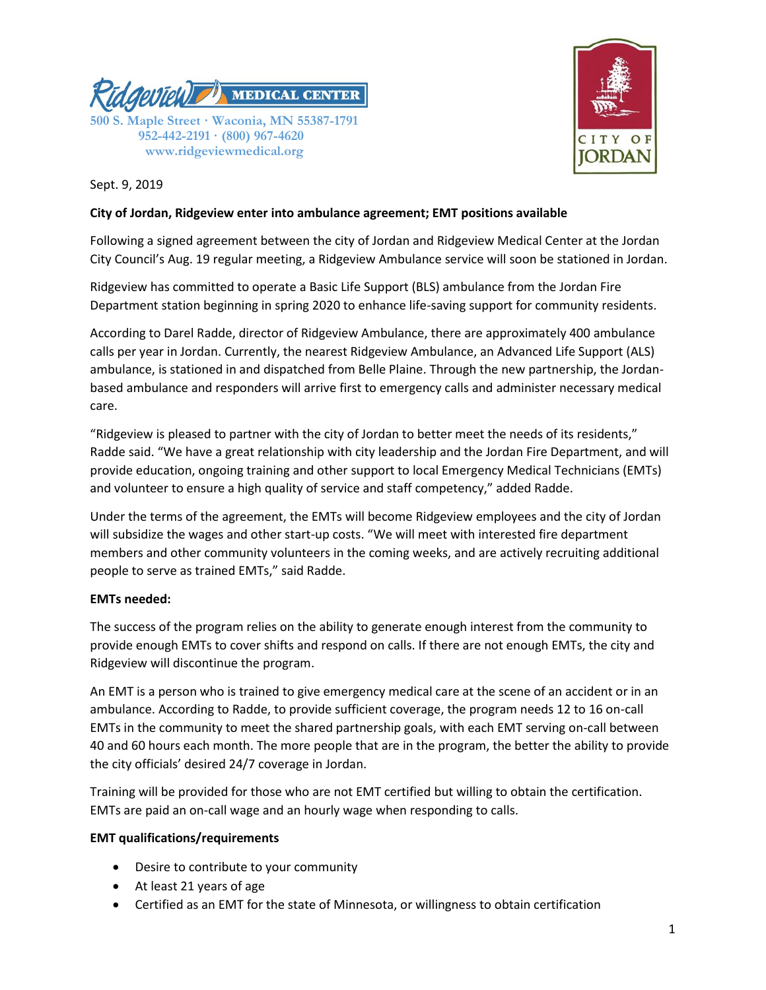



Sept. 9, 2019

### **City of Jordan, Ridgeview enter into ambulance agreement; EMT positions available**

Following a signed agreement between the city of Jordan and Ridgeview Medical Center at the Jordan City Council's Aug. 19 regular meeting, a Ridgeview Ambulance service will soon be stationed in Jordan.

Ridgeview has committed to operate a Basic Life Support (BLS) ambulance from the Jordan Fire Department station beginning in spring 2020 to enhance life-saving support for community residents.

According to Darel Radde, director of Ridgeview Ambulance, there are approximately 400 ambulance calls per year in Jordan. Currently, the nearest Ridgeview Ambulance, an Advanced Life Support (ALS) ambulance, is stationed in and dispatched from Belle Plaine. Through the new partnership, the Jordanbased ambulance and responders will arrive first to emergency calls and administer necessary medical care.

"Ridgeview is pleased to partner with the city of Jordan to better meet the needs of its residents," Radde said. "We have a great relationship with city leadership and the Jordan Fire Department, and will provide education, ongoing training and other support to local Emergency Medical Technicians (EMTs) and volunteer to ensure a high quality of service and staff competency," added Radde.

Under the terms of the agreement, the EMTs will become Ridgeview employees and the city of Jordan will subsidize the wages and other start-up costs. "We will meet with interested fire department members and other community volunteers in the coming weeks, and are actively recruiting additional people to serve as trained EMTs," said Radde.

# **EMTs needed:**

The success of the program relies on the ability to generate enough interest from the community to provide enough EMTs to cover shifts and respond on calls. If there are not enough EMTs, the city and Ridgeview will discontinue the program.

An EMT is a person who is trained to give emergency medical care at the scene of an accident or in an ambulance. According to Radde, to provide sufficient coverage, the program needs 12 to 16 on-call EMTs in the community to meet the shared partnership goals, with each EMT serving on-call between 40 and 60 hours each month. The more people that are in the program, the better the ability to provide the city officials' desired 24/7 coverage in Jordan.

Training will be provided for those who are not EMT certified but willing to obtain the certification. EMTs are paid an on-call wage and an hourly wage when responding to calls.

# **EMT qualifications/requirements**

- Desire to contribute to your community
- At least 21 years of age
- Certified as an EMT for the state of Minnesota, or willingness to obtain certification